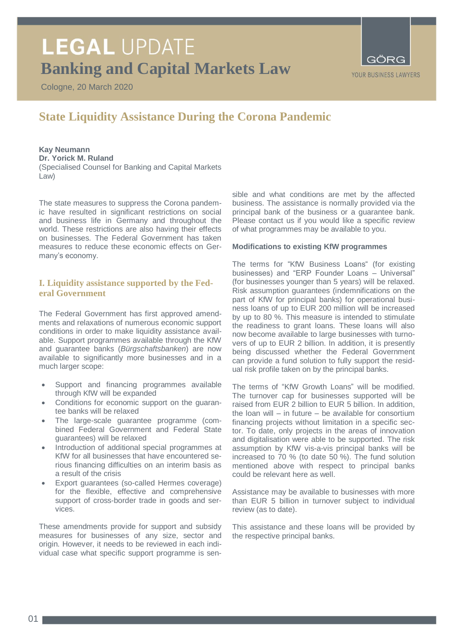### **LEGAL UPDATE Banking and Capital Markets Law**

Cologne, 20 March 2020

# YOUR BUSINESS LAWYERS

### **State Liquidity Assistance During the Corona Pandemic**

**Kay Neumann Dr. Yorick M. Ruland** (Specialised Counsel for Banking and Capital Markets Law)

The state measures to suppress the Corona pandemic have resulted in significant restrictions on social and business life in Germany and throughout the world. These restrictions are also having their effects on businesses. The Federal Government has taken measures to reduce these economic effects on Germany's economy.

#### **I. Liquidity assistance supported by the Federal Government**

The Federal Government has first approved amendments and relaxations of numerous economic support conditions in order to make liquidity assistance available. Support programmes available through the KfW and guarantee banks (*Bürgschaftsbanken*) are now available to significantly more businesses and in a much larger scope:

- Support and financing programmes available through KfW will be expanded
- Conditions for economic support on the guarantee banks will be relaxed
- The large-scale guarantee programme (combined Federal Government and Federal State guarantees) will be relaxed
- Introduction of additional special programmes at KfW for all businesses that have encountered serious financing difficulties on an interim basis as a result of the crisis
- Export guarantees (so-called Hermes coverage) for the flexible, effective and comprehensive support of cross-border trade in goods and services.

These amendments provide for support and subsidy measures for businesses of any size, sector and origin. However, it needs to be reviewed in each individual case what specific support programme is sensible and what conditions are met by the affected business. The assistance is normally provided via the principal bank of the business or a guarantee bank. Please contact us if you would like a specific review of what programmes may be available to you.

#### **Modifications to existing KfW programmes**

The terms for "KfW Business Loans" (for existing businesses) and "ERP Founder Loans – Universal" (for businesses younger than 5 years) will be relaxed. Risk assumption guarantees (indemnifications on the part of KfW for principal banks) for operational business loans of up to EUR 200 million will be increased by up to 80 %. This measure is intended to stimulate the readiness to grant loans. These loans will also now become available to large businesses with turnovers of up to EUR 2 billion. In addition, it is presently being discussed whether the Federal Government can provide a fund solution to fully support the residual risk profile taken on by the principal banks.

The terms of "KfW Growth Loans" will be modified. The turnover cap for businesses supported will be raised from EUR 2 billion to EUR 5 billion. In addition, the loan will – in future – be available for consortium financing projects without limitation in a specific sector. To date, only projects in the areas of innovation and digitalisation were able to be supported. The risk assumption by KfW vis-a-vis principal banks will be increased to 70 % (to date 50 %). The fund solution mentioned above with respect to principal banks could be relevant here as well.

Assistance may be available to businesses with more than EUR 5 billion in turnover subject to individual review (as to date).

This assistance and these loans will be provided by the respective principal banks.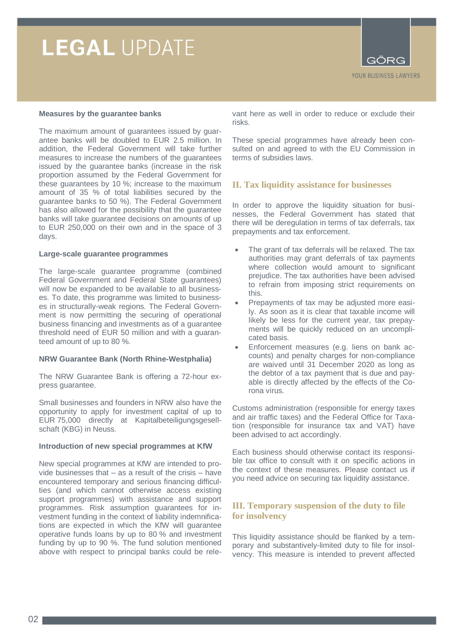## **LEGAL UPDATE**



#### **Measures by the guarantee banks**

The maximum amount of guarantees issued by guarantee banks will be doubled to EUR 2.5 million. In addition, the Federal Government will take further measures to increase the numbers of the guarantees issued by the guarantee banks (increase in the risk proportion assumed by the Federal Government for these guarantees by 10 %; increase to the maximum amount of 35 % of total liabilities secured by the guarantee banks to 50 %). The Federal Government has also allowed for the possibility that the guarantee banks will take guarantee decisions on amounts of up to EUR 250,000 on their own and in the space of 3 days.

#### **Large-scale guarantee programmes**

The large-scale guarantee programme (combined Federal Government and Federal State guarantees) will now be expanded to be available to all businesses. To date, this programme was limited to businesses in structurally-weak regions. The Federal Government is now permitting the securing of operational business financing and investments as of a guarantee threshold need of EUR 50 million and with a guaranteed amount of up to 80 %.

#### **NRW Guarantee Bank (North Rhine-Westphalia)**

The NRW Guarantee Bank is offering a 72-hour express guarantee.

Small businesses and founders in NRW also have the opportunity to apply for investment capital of up to EUR 75,000 directly at Kapitalbeteiligungsgesellschaft (KBG) in Neuss.

#### **Introduction of new special programmes at KfW**

New special programmes at KfW are intended to provide businesses that – as a result of the crisis – have encountered temporary and serious financing difficulties (and which cannot otherwise access existing support programmes) with assistance and support programmes. Risk assumption guarantees for investment funding in the context of liability indemnifications are expected in which the KfW will guarantee operative funds loans by up to 80 % and investment funding by up to 90 %. The fund solution mentioned above with respect to principal banks could be relevant here as well in order to reduce or exclude their risks.

These special programmes have already been consulted on and agreed to with the EU Commission in terms of subsidies laws.

#### **II. Tax liquidity assistance for businesses**

In order to approve the liquidity situation for businesses, the Federal Government has stated that there will be deregulation in terms of tax deferrals, tax prepayments and tax enforcement.

- The grant of tax deferrals will be relaxed. The tax authorities may grant deferrals of tax payments where collection would amount to significant prejudice. The tax authorities have been advised to refrain from imposing strict requirements on this.
- Prepayments of tax may be adjusted more easily. As soon as it is clear that taxable income will likely be less for the current year, tax prepayments will be quickly reduced on an uncomplicated basis.
- Enforcement measures (e.g. liens on bank accounts) and penalty charges for non-compliance are waived until 31 December 2020 as long as the debtor of a tax payment that is due and payable is directly affected by the effects of the Corona virus.

Customs administration (responsible for energy taxes and air traffic taxes) and the Federal Office for Taxation (responsible for insurance tax and VAT) have been advised to act accordingly.

Each business should otherwise contact its responsible tax office to consult with it on specific actions in the context of these measures. Please contact us if you need advice on securing tax liquidity assistance.

#### **III. Temporary suspension of the duty to file for insolvency**

This liquidity assistance should be flanked by a temporary and substantively-limited duty to file for insolvency. This measure is intended to prevent affected